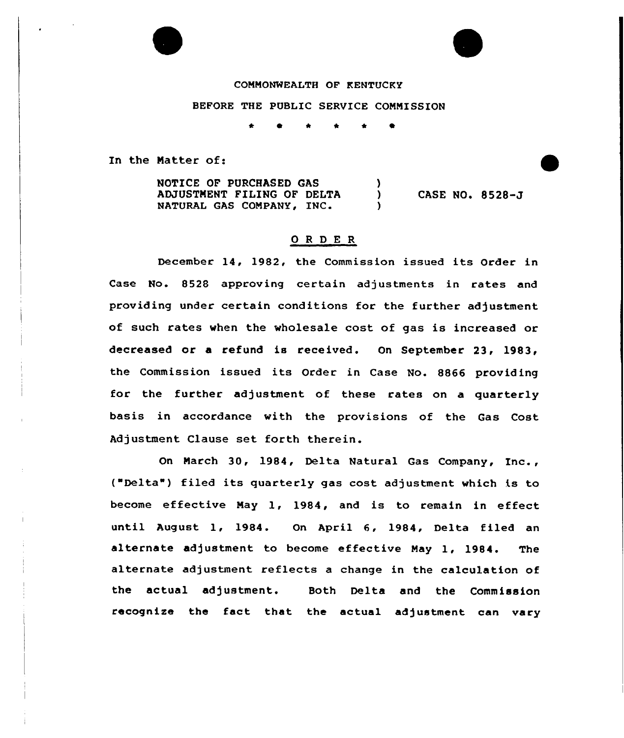### COMMONWEALTH OF KENTUCKY

#### BEFORE THE PUBLIC SERVICE COMMISSION

In the Matter of:

NOTICE OF PURCHASED GAS J. ADJUSTMENT FILING OF DELTA  $\mathcal{L}$ NATURAL GAS COMPANY, INC. Y

CASE NO. 8528-J

# ORDER

December 14, 1982, the Commission issued its Order in Case No. 8528 approving certain adjustments in rates and providing under certain conditions for the further adjustment of such rates when the wholesale cost of gas is increased or decreased or a refund is received. On September 23, 1983, the Commission issued its Order in Case No. 8866 providing for the further adjustment of these rates on a quarterly basis in accordance with the provisions of the Gas Cost Adjustment Clause set forth therein.

On March 30, 1984, Delta Natural Gas Company, Inc., ("Delta") filed its quarterly gas cost adjustment which is to become effective May 1, 1984, and is to remain in effect until August 1, 1984. On April 6, 1984, Delta filed an alternate adjustment to become effective May 1, 1984. The alternate adjustment reflects a change in the calculation of the actual adjustment. Both Delta and the Commission recognize the fact that the actual adjustment can vary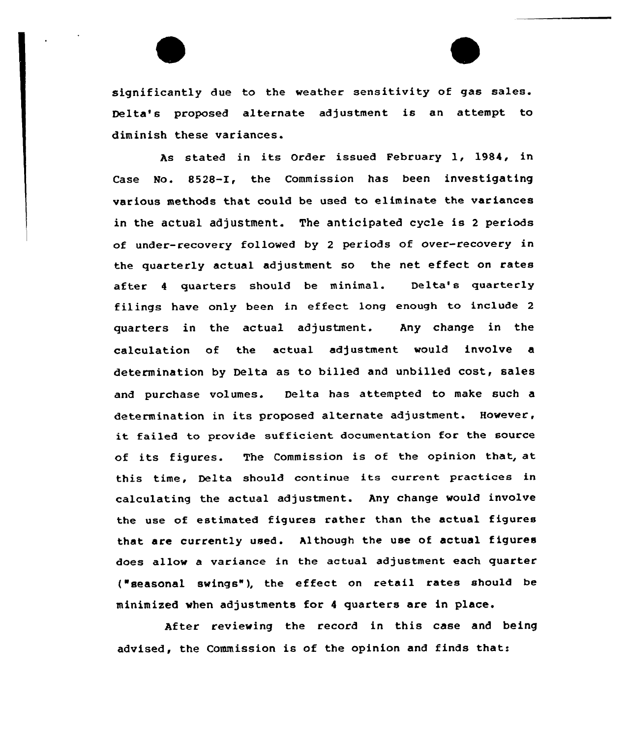significantly due to the weather sensitivity of gas sales. Delta's proposed alternate adjustment is an attempt to diminish these variances.

As stated in its Order issued February 1, 1984, in Case No. 8528-I, the Commission has been investigating various methods that could be used to eliminate the variances in the actual adjustment. The anticipated cycle is <sup>2</sup> periods of under-recovery followed by <sup>2</sup> periods of over-recovery in the quarterly actual adjustment so the net effect on rates after <sup>4</sup> quarters should be minimal. Delta's quarterly filings have only been in effeet long enough to include <sup>2</sup> quarters in the actual adjustment. Any change in the calculation of the actual adjustment would involve a determination by Delta as to billed and unbilled cost, sales and purchase volumes. Delta has attempted to make such a determination in its proposed alternate adjustment. However, it failed to provide sufficient documentation for the source of its figures. The Commission is of the opinion that, at this time, Delta should continue its current practices in calculating the actual adjustment. Any change would involve the use of estimated figures rather than the actual figures that are currently used. Although the use of actual figures does allow a variance in the actual adjustment each quarter ('easonal swings"), the effect on retail rates should be minimized when adjustments for <sup>4</sup> quarters are in place.

After reviewing the record in this case and being advised, the Commission is of the opinion and finds that: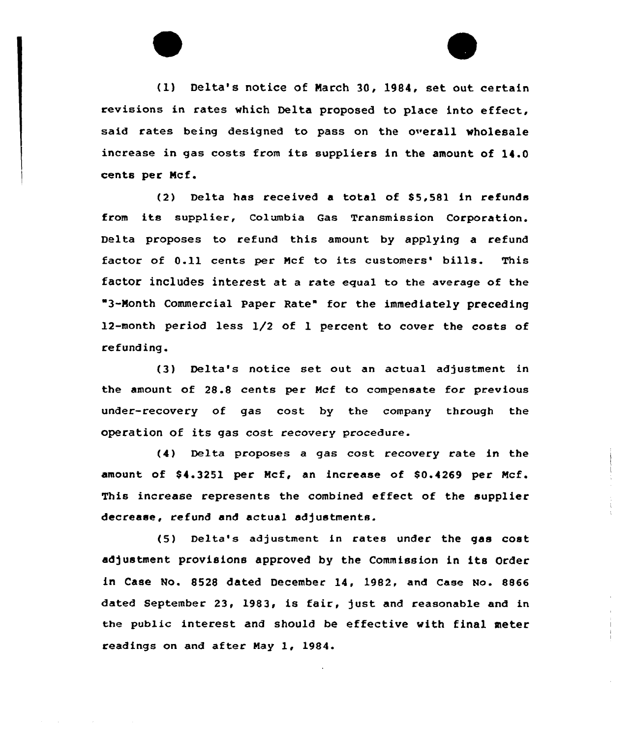(1) Delta's notice of March 30, 1984, set out certain revisions in rates which Delta proposed to place into effect, said rates being designed to pass on the overall wholesale increase in gas costs from its suppliers in the amount of 14.0 cents per Mcf.

(2) Delta has received a total of \$5.581 in refunds from its supplier, Columbia Gas Transmission Corporation. Delta proposes to refund this amount by applying a refund factor of 0.11 cents per Mcf to its customers' bills. This factor includes interest at a rate equal to the average of the 3-Month Commercial Paper Rate" for the immediately precedinq 12-month period less 1/2 of 1 percent to cover the costs of refunding.

(3) Delta's notice set out an actual adjustment in the amount of 28.8 cents per Mcf to compensate for previous under-recovery of gas cost by the company through the operation of its gas cost recovery procedure.

(4) Delta proposes a gas cost recovery rate in the amount of \$4.3251 per Mcf, an increase of \$0.4269 per Mcf. This increase represents the combined effect of the supplier decrease, refund and actual adjustments.

(5) Delta's adjustment in rates under the gas cost adjustment provisions approved by the Commission in its Order in Case No. 8528 dated December 14, 1982, and Case No. 8866 dated September 23, 1983, is fair, just and reasonable and in the public interest and should be effective with final meter readings on and after May 1, 1984.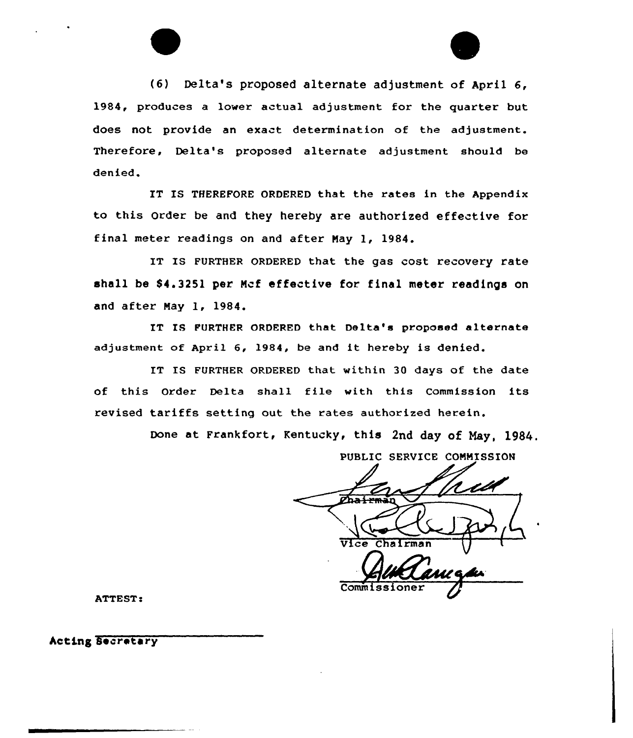

IT IS THEREFORE ORDERED that the rates in the Appendix to this Order be and they hereby are authorized effective for final meter readings on and after Nay 1, 1984.

IT IS FURTHER ORDERED that the gas cost recovery rate shall be 84.3251 per Mcf effective for final meter readings on and after Nay 1, 1984.

IT IS FURTHER ORDERED that Delta's proposed alternate adjustment of April 6, 1984, be and it hereby is denied.

IT IS FURTHER ORDERED that within 30 days of the date of this Order Delta shall file with this Commission its revised tariffs setting out the rates authorized herein.

Done at Frankfort, Kentucky, this 2nd day of Nay, 1984.

PUBLIC SERVICE COMMISSION Vice Chairman Commis

ATTEST:

Acting Secretary